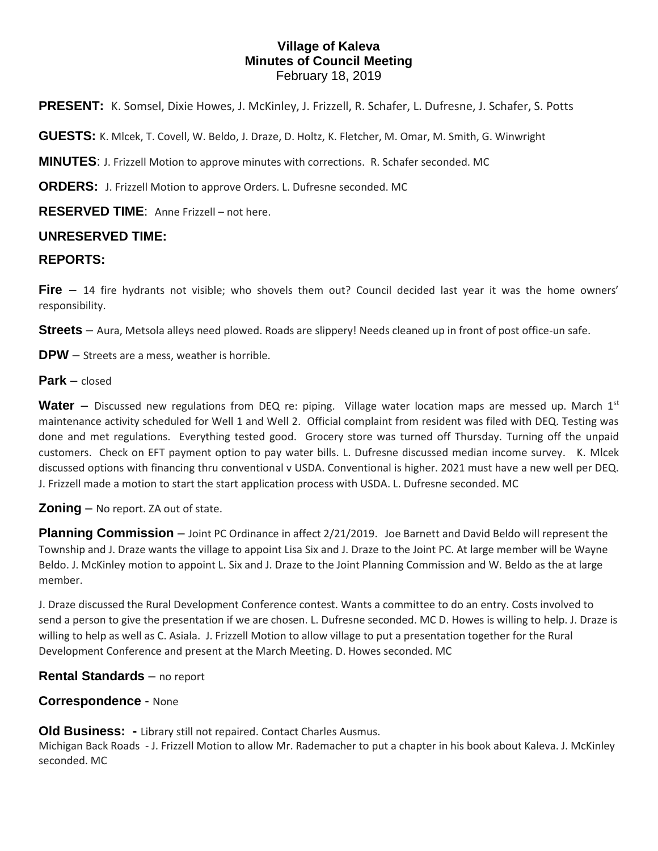# **Village of Kaleva Minutes of Council Meeting** February 18, 2019

**PRESENT:** K. Somsel, Dixie Howes, J. McKinley, J. Frizzell, R. Schafer, L. Dufresne, J. Schafer, S. Potts

**GUESTS:** K. Mlcek, T. Covell, W. Beldo, J. Draze, D. Holtz, K. Fletcher, M. Omar, M. Smith, G. Winwright

**MINUTES**: J. Frizzell Motion to approve minutes with corrections. R. Schafer seconded. MC

**ORDERS:** J. Frizzell Motion to approve Orders. L. Dufresne seconded. MC

**RESERVED TIME**: Anne Frizzell – not here.

### **UNRESERVED TIME:**

#### **REPORTS:**

**Fire** – 14 fire hydrants not visible; who shovels them out? Council decided last year it was the home owners' responsibility.

**Streets** – Aura, Metsola alleys need plowed. Roads are slippery! Needs cleaned up in front of post office-un safe.

**DPW** – Streets are a mess, weather is horrible.

**Park** – closed

**Water** – Discussed new regulations from DEQ re: piping. Village water location maps are messed up. March 1<sup>st</sup> maintenance activity scheduled for Well 1 and Well 2. Official complaint from resident was filed with DEQ. Testing was done and met regulations. Everything tested good. Grocery store was turned off Thursday. Turning off the unpaid customers. Check on EFT payment option to pay water bills. L. Dufresne discussed median income survey. K. Mlcek discussed options with financing thru conventional v USDA. Conventional is higher. 2021 must have a new well per DEQ. J. Frizzell made a motion to start the start application process with USDA. L. Dufresne seconded. MC

### **Zoning** – No report. ZA out of state.

**Planning Commission** – Joint PC Ordinance in affect 2/21/2019. Joe Barnett and David Beldo will represent the Township and J. Draze wants the village to appoint Lisa Six and J. Draze to the Joint PC. At large member will be Wayne Beldo. J. McKinley motion to appoint L. Six and J. Draze to the Joint Planning Commission and W. Beldo as the at large member.

J. Draze discussed the Rural Development Conference contest. Wants a committee to do an entry. Costs involved to send a person to give the presentation if we are chosen. L. Dufresne seconded. MC D. Howes is willing to help. J. Draze is willing to help as well as C. Asiala. J. Frizzell Motion to allow village to put a presentation together for the Rural Development Conference and present at the March Meeting. D. Howes seconded. MC

### **Rental Standards** – no report

### **Correspondence** - None

**Old Business:** - Library still not repaired. Contact Charles Ausmus.

Michigan Back Roads - J. Frizzell Motion to allow Mr. Rademacher to put a chapter in his book about Kaleva. J. McKinley seconded. MC